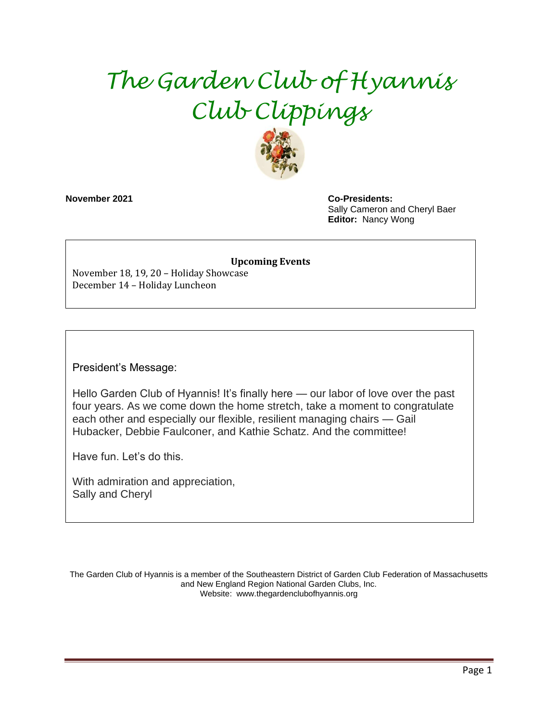# *The Garden Club of Hyannis Club Clippings*



**November 2021 Co-Presidents:**  Sally Cameron and Cheryl Baer **Editor:** Nancy Wong

#### **Upcoming Events**

November 18, 19, 20 – Holiday Showcase December 14 – Holiday Luncheon

President's Message:

Hello Garden Club of Hyannis! It's finally here — our labor of love over the past four years. As we come down the home stretch, take a moment to congratulate each other and especially our flexible, resilient managing chairs — Gail Hubacker, Debbie Faulconer, and Kathie Schatz. And the committee!

Have fun. Let's do this.

With admiration and appreciation, Sally and Cheryl

The Garden Club of Hyannis is a member of the Southeastern District of Garden Club Federation of Massachusetts and New England Region National Garden Clubs, Inc. Website: www.thegardenclubofhyannis.org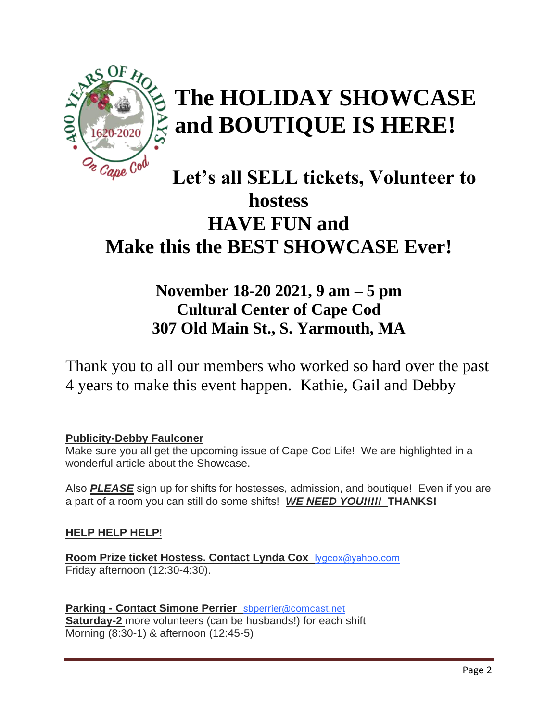

# **The HOLIDAY SHOWCASE and BOUTIQUE IS HERE!**

# **Let's all SELL tickets, Volunteer to hostess HAVE FUN and Make this the BEST SHOWCASE Ever!**

# **November 18-20 2021, 9 am – 5 pm Cultural Center of Cape Cod 307 Old Main St., S. Yarmouth, MA**

Thank you to all our members who worked so hard over the past 4 years to make this event happen. Kathie, Gail and Debby

## **Publicity-Debby Faulconer**

Make sure you all get the upcoming issue of Cape Cod Life! We are highlighted in a wonderful article about the Showcase.

Also *PLEASE* sign up for shifts for hostesses, admission, and boutique! Even if you are a part of a room you can still do some shifts! *WE NEED YOU!!!!!* **THANKS!**

## **HELP HELP HELP**!

**Room Prize ticket Hostess. Contact Lynda Cox** [lygcox@yahoo.com](mailto:lygcox@yahoo.com) Friday afternoon (12:30-4:30).

**Parking - Contact Simone Perrier** [sbperrier@comcast.net](mailto:sbperrier@comcast.net) **Saturday-2** more volunteers (can be husbands!) for each shift Morning (8:30-1) & afternoon (12:45-5)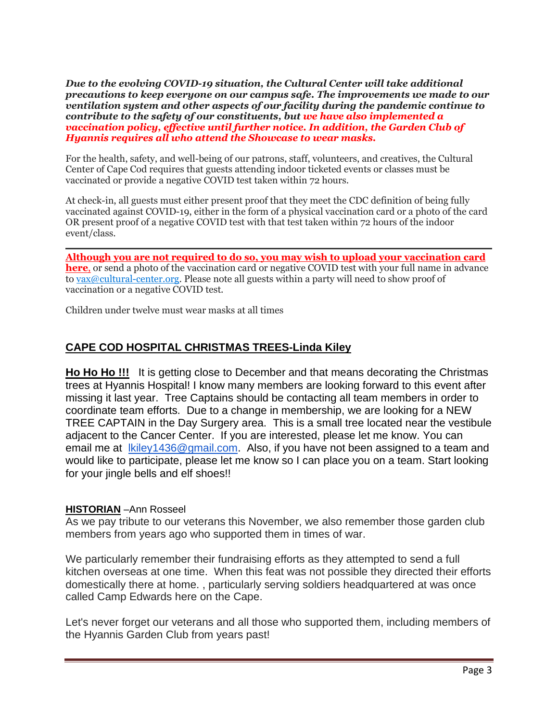*Due to the evolving COVID-19 situation, the Cultural Center will take additional precautions to keep everyone on our campus safe. The improvements we made to our ventilation system and other aspects of our facility during the pandemic continue to contribute to the safety of our constituents, but we have also implemented a vaccination policy, effective until further notice. In addition, the Garden Club of Hyannis requires all who attend the Showcase to wear masks.*

For the health, safety, and well-being of our patrons, staff, volunteers, and creatives, the Cultural Center of Cape Cod requires that guests attending indoor ticketed events or classes must be vaccinated or provide a negative COVID test taken within 72 hours.

At check-in, all guests must either present proof that they meet the CDC definition of being fully vaccinated against COVID-19, either in the form of a physical vaccination card or a photo of the card OR present proof of a negative COVID test with that test taken within 72 hours of the indoor event/class.

**Although you are not required to do so, you may wish to upload your [vaccination](https://www.cultural-center.org/covid19vax) card [here](https://www.cultural-center.org/covid19vax)**, or send a photo of the vaccination card or negative COVID test with your full name in advance to [vax@cultural-center.org.](mailto:vax@cultural-center.org) Please note all guests within a party will need to show proof of vaccination or a negative COVID test.

Children under twelve must wear masks at all times

## **CAPE COD HOSPITAL CHRISTMAS TREES-Linda Kiley**

**Ho Ho Ho !!!** It is getting close to December and that means decorating the Christmas trees at Hyannis Hospital! I know many members are looking forward to this event after missing it last year. Tree Captains should be contacting all team members in order to coordinate team efforts. Due to a change in membership, we are looking for a NEW TREE CAPTAIN in the Day Surgery area. This is a small tree located near the vestibule adjacent to the Cancer Center. If you are interested, please let me know. You can email me at [lkiley1436@gmail.com.](mailto:lkiley1436@gmail.com) Also, if you have not been assigned to a team and would like to participate, please let me know so I can place you on a team. Start looking for your jingle bells and elf shoes!!

#### **HISTORIAN** –Ann Rosseel

As we pay tribute to our veterans this November, we also remember those garden club members from years ago who supported them in times of war.

We particularly remember their fundraising efforts as they attempted to send a full kitchen overseas at one time. When this feat was not possible they directed their efforts domestically there at home. , particularly serving soldiers headquartered at was once called Camp Edwards here on the Cape.

Let's never forget our veterans and all those who supported them, including members of the Hyannis Garden Club from years past!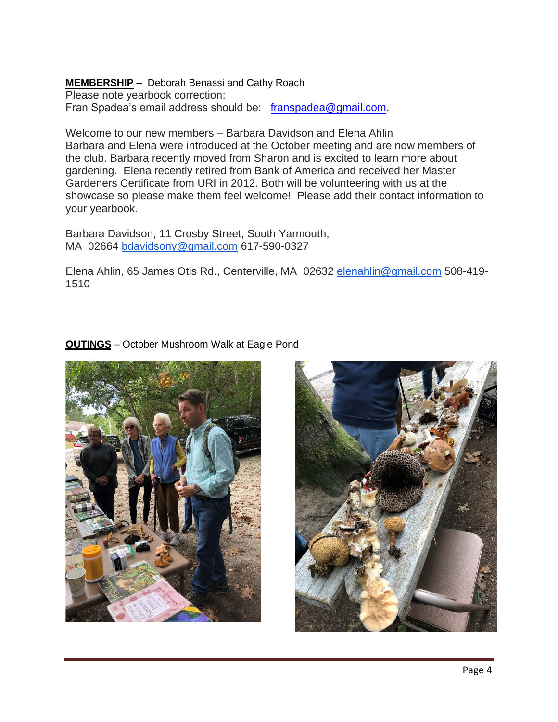#### **MEMBERSHIP** – Deborah Benassi and Cathy Roach Please note yearbook correction: Fran Spadea's email address should be: [franspadea@gmail.com.](mailto:franspadea@gmail.com)

Welcome to our new members – Barbara Davidson and Elena Ahlin Barbara and Elena were introduced at the October meeting and are now members of the club. Barbara recently moved from Sharon and is excited to learn more about gardening. Elena recently retired from Bank of America and received her Master Gardeners Certificate from URI in 2012. Both will be volunteering with us at the showcase so please make them feel welcome! Please add their contact information to your yearbook.

Barbara Davidson, 11 Crosby Street, South Yarmouth, MA 02664 [bdavidsony@gmail.com](mailto:bdavidsony@gmail.com) 617-590-0327

Elena Ahlin, 65 James Otis Rd., Centerville, MA 02632 [elenahlin@gmail.com](mailto:elenahlin@gmail.com) 508-419- 1510

### **OUTINGS** – October Mushroom Walk at Eagle Pond